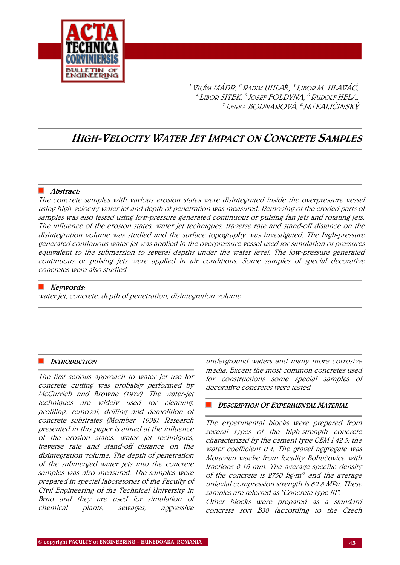

1.VILÉM MÁDR, 2.RADIM UHLÁ*Ř,* 3. <sup>L</sup>IBOR M. HLAVÁČ, <sup>4.</sup> Libor SITEK, <sup>5.</sup>Josef FOLDYNA, <sup>6</sup> Rudolf HELA, 7. <sup>L</sup>ENKA BODNÁROVÁ, 8.JI*Ř*Í KALIČINSKÝ

# HIGH-VELOCITY WATER JET IMPACT ON CONCRETE SAMPLES

# $\blacksquare$  Abstract:

The concrete samples with various erosion states were disintegrated inside the overpressure vessel using high-velocity water jet and depth of penetration was measured. Removing of the eroded parts of samples was also tested using low-pressure generated continuous or pulsing fan jets and rotating jets. The influence of the erosion states, water jet techniques, traverse rate and stand-off distance on the disintegration volume was studied and the surface topography was investigated. The high-pressure generated continuous water jet was applied in the overpressure vessel used for simulation of pressures equivalent to the submersion to several depths under the water level. The low-pressure generated continuous or pulsing jets were applied in air conditions. Some samples of special decorative concretes were also studied.

# $\blacksquare$  Keywords:

water jet, concrete, depth of penetration, disintegration volume

# **INTRODUCTION**

The first serious approach to water jet use for concrete cutting was probably performed by McCurrich and Browne (1972). The water-jet techniques are widely used for cleaning, profiling, removal, drilling and demolition of concrete substrates (Momber, 1998). Research presented in this paper is aimed at the influence of the erosion states, water jet techniques, traverse rate and stand-off distance on the disintegration volume. The depth of penetration of the submerged water jets into the concrete samples was also measured. The samples were prepared in special laboratories of the Faculty of Civil Engineering of the Technical University in Brno and they are used for simulation of chemical plants, sewages, aggressive

underground waters and many more corrosive media. Except the most common concretes used for constructions some special samples of decorative concretes were tested.

# **DESCRIPTION OF EXPERIMENTAL MATERIAL**

The experimental blocks were prepared from several types of the high-strength concrete characterized by the cement type CEM I 42.5; the water coefficient 0.4. The gravel aggregate was Moravian wacke from locality Bohučovice with fractions 0-16 mm. The average specific density of the concrete is 2750 kg $\cdot$ m<sup>-3</sup> and the average uniaxial compression strength is 62.8 MPa. These samples are referred as "Concrete type III".

Other blocks were prepared as a standard concrete sort B30 (according to the Czech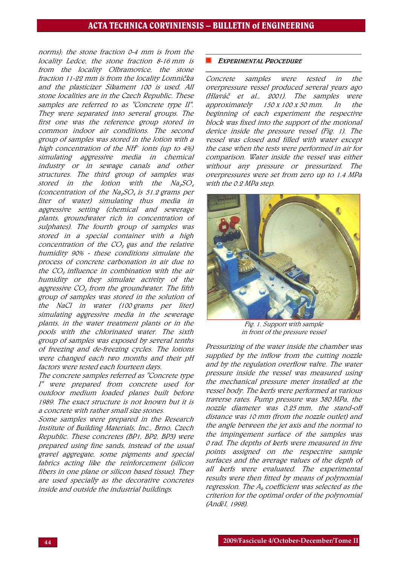# ACTA TECHNICA CORVINIENSIS – BULLETIN of ENGINEERING

norms); the stone fraction 0-4 mm is from the locality Ledce, the stone fraction 8-16 mm is from the locality Olbramovice, the stone fraction 11-22 mm is from the locality Lomnička and the plasticizer Sikament 100 is used. All stone localities are in the Czech Republic. These samples are referred to as "Concrete type II". They were separated into several groups. The first one was the reference group stored in common indoor air conditions. The second group of samples was stored in the lotion with a high concentration of the NH $\tilde{f}$ - ionts (up to 4%) simulating aggressive media in chemical industry or in sewage canals and other structures. The third group of samples was stored in the lotion with the  $Na<sub>2</sub>SO<sub>4</sub>$ (concentration of the Na<sub>2</sub>SO<sub>4</sub> is 51.2 grams per liter of water) simulating thus media in aggressive setting (chemical and sewerage plants, groundwater rich in concentration of sulphates). The fourth group of samples was stored in a special container with a high concentration of the  $CO<sub>2</sub>$  gas and the relative humidity 90% - these conditions simulate the process of concrete carbonation in air due to the  $CO<sub>o</sub>$  influence in combination with the air humidity or they simulate activity of the aggressive  $CO<sub>2</sub>$  from the groundwater. The fifth group of samples was stored in the solution of the NaCl in water (100 grams per liter) simulating aggressive media in the sewerage plants, in the water treatment plants or in the pools with the chlorinated water. The sixth group of samples was exposed by several tenths of freezing and de-freezing cycles. The lotions were changed each two months and their pH factors were tested each fourteen days.

The concrete samples referred as "Concrete type I" were prepared from concrete used for outdoor medium loaded planes built before 1989. The exact structure is not bnown but it is a concrete with rather small size stones.

Some samples were prepared in the Research Institute of Building Materials, Inc., Brno, Czech Republic. These concretes (BP1, BP2, BP3) were prepared using fine sands, instead of the usual gravel aggregate, some pigments and special fabrics acting like the reinforcement (silicon fibers in one plane or silicon based tissue). They are used specially as the decorative concretes inside and outside the industrial buildings.

#### EXPERIMENTAL PROCEDURE

Concrete samples were tested in the overpressure vessel produced several years ago (Hlaváč et al., 2001). The samples were approximately 150 x 100 x 50 mm. In the beginning of each experiment the respective block was fixed into the support of the motional device inside the pressure vessel (Fig. 1). The vessel was closed and filled with water except the case when the tests were performed in air for comparison. Water inside the vessel was either without any pressure or pressurized. The overpressures were set from zero up to 1.4 MPa with the 0.2 MPa step.



Fig. 1. Support with sample in front of the pressure vessel

Pressurizing of the water inside the chamber was supplied by the inflow from the cutting nozzle and by the regulation overflow valve. The water pressure inside the vessel was measured using the mechanical pressure meter installed at the vessel body. The kerfs were performed at various traverse rates. Pump pressure was 380 MPa, the nozzle diameter was 0.25 mm, the stand-off distance was 10 mm (from the nozzle outlet) and the angle between the jet axis and the normal to the impingement surface of the samples was 0 rad. The depths of kerfs were measured in five points assigned on the respective sample surfaces and the average values of the depth of all kerfs were evaluated. The experimental results were then fitted by means of polynomial regression. The  $A_k$  coefficient was selected as the criterion for the optimal order of the polynomial (And*ě*l, 1998).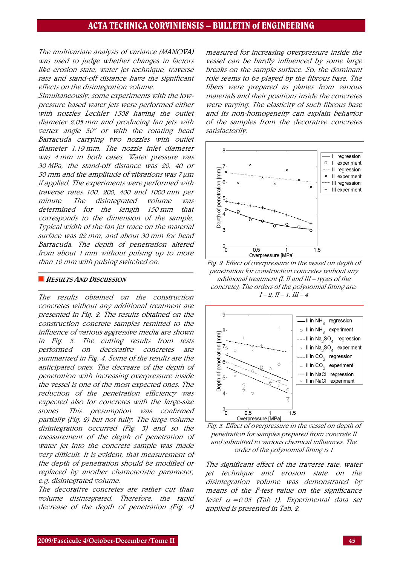The multivariate analysis of variance (MANOVA) was used to judge whether changes in factors like erosion state, water jet technique, traverse rate and stand-off distance have the significant effects on the disintegration volume.

Simultaneously, some experiments with the lowpressure based water jets were performed either with nozzles Lechler 1508 having the outlet diameter 2.05 mm and producing fan jets with vertex angle 30° or with the rotating head Barracuda carrying two nozzles with outlet diameter 1.19 mm. The nozzle inlet diameter was 4 mm in both cases. Water pressure was 30 MPa, the stand-off distance was 20, 40 or 50 mm and the amplitude of vibrations was 7 *μ*<sup>m</sup> if applied. The experiments were performed with traverse rates 100, 200, 400 and 1000 mm per minute. The disintegrated volume was determined for the length 150 mm that corresponds to the dimension of the sample. Typical width of the fan jet trace on the material surface was 22 mm, and about 30 mm for head Barracuda. The depth of penetration altered from about 1 mm without pulsing up to more than 10 mm with pulsing switched on.

#### **RESULTS AND DISCUSSION**

The results obtained on the construction concretes without any additional treatment are presented in Fig. 2. The results obtained on the construction concrete samples remitted to the influence of various aggressive media are shown in Fig. 3. The cutting results from tests performed on decorative concretes are summarized in Fig. 4. Some of the results are the anticipated ones. The decrease of the depth of penetration with increasing overpressure inside the vessel is one of the most expected ones. The reduction of the penetration efficiency was expected also for concretes with the large-size stones. This presumption was confirmed partially (Fig. 2) but not fully. The large volume disintegration occurred (Fig. 3) and so the measurement of the depth of penetration of water jet into the concrete sample was made very difficult. It is evident, that measurement of the depth of penetration should be modified or replaced by another characteristic parameter, e.g. disintegrated volume.

The decorative concretes are rather cut than volume disintegrated. Therefore, the rapid decrease of the depth of penetration (Fig. 4) measured for increasing overpressure inside the vessel can be hardly influenced by some large breaks on the sample surface. So, the dominant role seems to be played by the fibrous base. The fibers were prepared as planes from various materials and their positions inside the concretes were varying. The elasticity of such fibrous base and its non-homogeneity can explain behavior of the samples from the decorative concretes satisfactorily.



Fig. 2. Effect of overpressure in the vessel on depth of penetration for construction concretes without any additional treatment (I, II and III – types of the concrete); The orders of the polynomial fitting are:  $I - 2$ ,  $II - 1$ ,  $III - 4$ 



Fig. 3. Effect of overpressure in the vessel on depth of penetration for samples prepared from concrete II and submitted to various chemical influences. The order of the polynomial fitting is 1

The significant effect of the traverse rate, water jet technique and erosion state on the disintegration volume was demonstrated by means of the F-test value on the significance level  $\alpha = 0.05$  (Tab. 1). Experimental data set applied is presented in Tab. 2.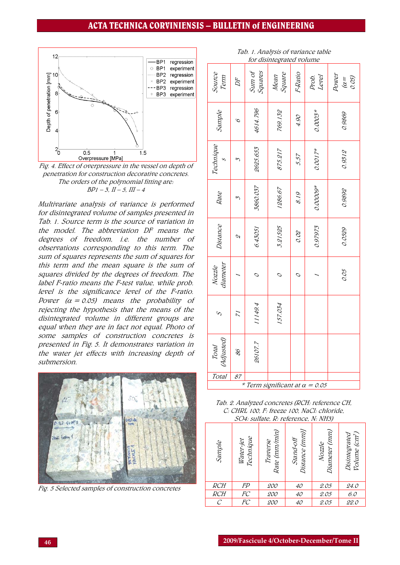# ACTA TECHNICA CORVINIENSIS – BULLETIN of ENGINEERING

Source

Technique

Technique

Nozzle

 $\mathcal{S}$ 

Total (Adjusted) 71

86

Total 87

(Adjusted)

11149.4

1149.

26107.7

26107.7



Fig. 4. Effect of overpressure in the vessel on depth of penetration for construction decorative concretes. The orders of the polynomial fitting are:  $BP1 - 3$ ,  $II - 5$ ,  $III - 4$ 

Multivariate analysis of variance is performed for disintegrated volume of samples presented in Tab. 1. Source term is the source of variation in the model. The abbreviation DF means the degrees of freedom, i.e. the number of observations corresponding to this term. The sum of squares represents the sum of squares for this term and the mean square is the sum of squares divided by the degrees of freedom. The label F-ratio means the F-test value, while prob. level is the significance level of the F-ratio. Power  $(\alpha = 0.05)$  means the probability of rejecting the hypothesis that the means of the disintegrated volume in different groups are equal when they are in fact not equal. Photo of some samples of construction concretes is presented in Fig. 5. It demonstrates variation in the water jet effects with increasing depth of submersion.



Fig. 5 Selected samples of construction concretes

| for disintegrated volume |        |                   |                |         |                |                             |
|--------------------------|--------|-------------------|----------------|---------|----------------|-----------------------------|
| 2000C<br>Term            | $D\!F$ | Squares<br>Sum of | Square<br>Mean | F-Ratio | Prob.<br>Level | Power<br>0.05<br>$\alpha =$ |
| Sample                   | S      | 4614.796          | 769.132        | 06 F    | $0.0003*$      | 0.9869                      |
| и еслиццие               | Σ      | 2625.653          | 875.217        | 5.57    | $0.0017*$      | 0.9312                      |
| Rate                     | Σ      | 3860.037          | 1286.67        | 8.19    | $0.0000*$      | 0.9892                      |
| Distance                 | S      | 6.43051           | 3.21525        | 0.02    | 0.97973        | 0.0529                      |
| diameter<br>IVULLE       |        |                   |                |         |                | 0.05                        |

Tab. 1. Analysis of variance table

 $*$  Term significant at  $\alpha = 0.05$ 

157.034

57.034

Tab. 2. Analyzed concretes (RCH: reference CH, C: CHRL 100, F: freeze 100, NaCl: chloride, SO4: sulfate, R: reference, N: NH3)

| Sample | Technique<br>Water-jet | Rate (mm/min)<br>Traverse | Distance (mm)]<br>Stand-off | $\overline{\phantom{a}}$<br>Diameter (mm)<br>Nozzle | <i>Volume (cm<sup>3</sup>)</i><br>Disintegrated |
|--------|------------------------|---------------------------|-----------------------------|-----------------------------------------------------|-------------------------------------------------|
| RCH    |                        | <i>200</i>                | 40                          | <u>2.05</u>                                         | 24.O                                            |
| RCH    | FP<br>FC<br>FC         | 200                       | 40                          | 2.05                                                | 6.0                                             |
| С      |                        | 200                       | 40                          | 2.05                                                | 22.0                                            |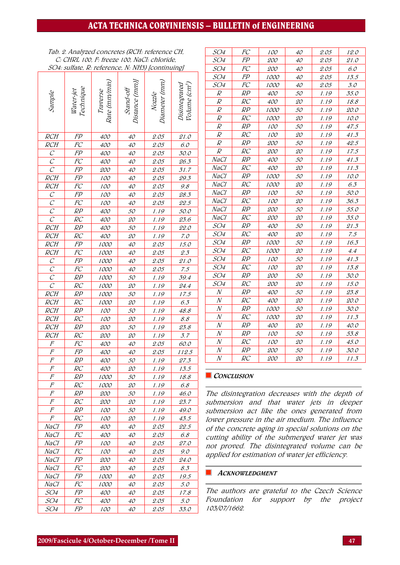# ACTA TECHNICA CORVINIENSIS – BULLETIN of ENGINEERING

Tab. 2. Analyzed concretes (RCH: reference CH, C: CHRL 100, F: freeze 100, NaCl: chloride, SO4: sulfate, R: reference, N: NH3) [continuing]

|                                     |                             |                           |                            | $l$ communiz                    |                                            |
|-------------------------------------|-----------------------------|---------------------------|----------------------------|---------------------------------|--------------------------------------------|
| Sample                              | Water-jet<br>Technique      | Rate (mm/min)<br>Traverse | Distance (mm)<br>Stand-off | <i>Nozzle<br/>Diameter (mm)</i> | Disintegrated<br>Volume (cm <sup>3</sup> ) |
| $\overline{RCH}$                    | FP                          | 400                       | 40                         | 2.05                            | 21.0                                       |
|                                     |                             |                           |                            |                                 |                                            |
|                                     |                             | 400                       | $40^{\circ}$               | 2.05                            | $6.0\,$                                    |
|                                     | $\frac{FC}{FP}$             | 400                       | $40\,$                     | 2.05                            | 30.0                                       |
|                                     |                             | 400                       | $40^{\circ}$               | 2.05                            | 26.3                                       |
| $\frac{RCH}{C}$ $\frac{C}{RCH}$     | FP<br>FP<br>FC<br>FP        | 200                       | $40\,$                     | 2.05                            | 31.7                                       |
|                                     |                             | 100                       | $40^{\circ}$               | 2.05                            | 29.3                                       |
| $rac{RCH}{C}$                       |                             | 100                       | $40^{\circ}$               | 2.05                            | 9.8                                        |
|                                     |                             | 100                       | $40\,$                     | 2.05                            | 28.3                                       |
|                                     | $\overline{FC}$             | 100                       | $40\,$                     | 2.05                            | 22.5                                       |
|                                     | RP                          | 400                       | 50                         | 1.19                            | 50.0                                       |
| $\overline{C}$                      | RC                          | 400                       | 20                         | 1.19                            | 23.6                                       |
| RCH                                 | RP                          | 400                       | 50                         | 1.19                            | 22.0                                       |
| RCH                                 | RC                          | 400                       | 20                         | 1.19                            | 7.0                                        |
| $\overline{RCH}$                    | $\overline{FP}$             | 1000                      | $40^{\circ}$               | 2.05                            | 15.0                                       |
| RCH                                 | $\overline{FC}$             | 1000                      | $40^{\circ}$               | 2.05                            | $\mathcal{Q}.\mathcal{Z}$                  |
| $\overline{C}$                      | FP                          | 1000                      | $40^{\circ}$               | 2.05                            | 21.0                                       |
| $\overline{C}$                      | $\overline{FC}$             | 1000                      | $40\,$                     | 2.05                            | 7.5                                        |
| $\frac{\overline{C}}{\overline{C}}$ | RP                          | 1000                      | 50                         | 1.19                            | 39.4                                       |
|                                     | RC                          | 1000                      | 20                         | 1.19                            | 24.4                                       |
| $\overline{RCH}$                    | RP                          | 1000                      | 50                         | 1.19                            | 17.5                                       |
| RCH                                 | $R\overline{C}$             | 1000                      | 20                         | 1.19                            | $6.3\,$                                    |
| RCH                                 | RP                          | 100                       | 50                         | 1.19                            | 48.8                                       |
| RCH                                 | $\underline{R}\overline{C}$ | 100                       | 20                         | 1.19                            | $\mathcal{S}.\mathcal{S}$                  |
| RCH                                 | $\frac{RP}{4}$              | 200                       | 50                         | 1.19                            | $\frac{23.8}{5}$                           |
|                                     | RC                          | 200                       | 20                         | 1.19                            | 3.7                                        |
|                                     |                             | 400                       | $40^{\circ}$               | 2.05                            | 60.0                                       |
| $\frac{RCH}{F}$<br>$\frac{F}{F}$    | FC<br>FP<br>RP              | 400                       | $40\,$                     | 2.05                            | 112.5                                      |
|                                     |                             | 400                       | 50                         | 1.19                            | 27.3                                       |
|                                     | RC                          | 400                       | <i>20</i>                  | 1.19                            | 13.5                                       |
| $\cal F$                            | RP                          | <i>1000</i>               | 50                         | 1.19                            | 18.8                                       |
| F                                   | RC                          | <i>1000</i>               | 20                         | 1.19                            | 6.8                                        |
| $\overline{F}$                      | RP                          | 200                       | 50                         | 1.19                            | 46.0                                       |
| F                                   | RC                          | 200                       | 20                         | 1.19                            | 23.7                                       |
| F                                   | RP                          | 100                       | 50                         | 1.19                            | 49.0                                       |
| F                                   | RC                          | 100                       | 20                         | 1.19                            | 43.5                                       |
| NaCI                                | FP                          | <i>400</i>                | 40                         | 2.05                            | 22.5                                       |
| NaCI                                | FC                          | <i>400</i>                | 40                         | 2.05                            | 6.8                                        |
| NaCI                                | FP                          | 100                       | 40                         | 2.05                            | <i>27.0</i>                                |
| NaCI                                | FC                          | 100                       | 40                         | 2.05                            | 9.0                                        |
| NaCI                                | FP                          | <i>200</i>                | 40                         | 2.05                            | 24.0                                       |
| NaCI                                | FC                          | <i>200</i>                | 40                         | 2.05                            | 8.3                                        |
| NaCI                                | FP                          | <i>1000</i>               | 40                         | 2.05                            | 19.5                                       |
| NaCI                                | FC                          | <i>1000</i>               | 40                         | 2.05                            | 5.0                                        |
| SO4                                 | FP                          | 400                       | 40                         | 2.05                            | 17.8                                       |
| SO4                                 | FC                          | 400                       | 40                         | 2.05                            | 5.0                                        |
| SO4                                 | FP                          | 100                       | 40                         | 2.05                            | 33.0                                       |

| SO <sub>4</sub>  | FC | 100         | 40        | 2.05 | 12.0        |
|------------------|----|-------------|-----------|------|-------------|
| SO4              | FP | <i>200</i>  | 40        | 2.05 | 21.0        |
| SO4              | FC | 200         | 40        | 2.05 | 6.0         |
| SO <sub>4</sub>  | FP | <i>1000</i> | 40        | 2.05 | 13.5        |
| SO <sub>4</sub>  | FC | <i>1000</i> | 40        | 2.05 | 3.0         |
| R                | RP | 400         | 50        | 1.19 | 35.0        |
| R                | RC | 400         | 20        | 1.19 | 18.8        |
| R                | RP | <i>1000</i> | 50        | 1.19 | <i>20.0</i> |
| $\it{R}$         | RC | <i>1000</i> | 20        | 1.19 | 10.0        |
| $\overline{R}$   | RP | 100         | 50        | 1.19 | 47.5        |
| $\overline{R}$   | RC | 100         | 20        | 1.19 | 41.3        |
| $\boldsymbol{R}$ | RP | <i>200</i>  | 50        | 1.19 | 42.5        |
| $\boldsymbol{R}$ | RC | <i>200</i>  | 20        | 1.19 | 17.5        |
| NaCI             | RP | <i>400</i>  | 50        | 1.19 | 41.3        |
| NaCI             | RC | 400         | 20        | 1.19 | 11.3        |
| NaCl             | RP | <i>1000</i> | 50        | 1.19 | 10.0        |
| NaCI             | RC | <i>1000</i> | <i>20</i> | 1.19 | 6.3         |
| NaCI             | RP | <i>100</i>  | 50        | 1.19 | 50.0        |
| NaCI             | RC | 100         | 20        | 1.19 | 36.3        |
| NaCl             | RP | <i>200</i>  | 50        | 1.19 | 55.0        |
| NaCI             | RC | 200         | 20        | 1.19 | 35.0        |
| SO4              | RP | <i>400</i>  | 50        | 1.19 | 21.3        |
| SO4              | RC | 400         | 20        | 1.19 | 7.5         |
| SO <sub>4</sub>  | RP | 1000        | 50        | 1.19 | 16.3        |
| SO4              | RC | 1000        | 20        | 1.19 | 4.4         |
| SO4              | RP | <i>100</i>  | 50        | 1.19 | 41.3        |
| SO4              | RC | 100         | 20        | 1.19 | 13.8        |
| SO4              | RP | <i>200</i>  | 50        | 1.19 | 30.0        |
| <i>SO4</i>       | RC | <i>200</i>  | 20        | 1.19 | 15.0        |
| $\,N$            | RP | <i>400</i>  | 50        | 1.19 | 23.8        |
| $\cal N$         | RC | <i>400</i>  | 20        | 1.19 | 20.O        |
| $\boldsymbol{N}$ | RP | 1000        | 50        | 1.19 | 30.0        |
| $\,N$            | RC | 1000        | 20        | 1.19 | 11.3        |
| $\overline{N}$   | RP | <i>400</i>  | 20        | 1.19 | 40.0        |
| $\overline{N}$   | RP | <i>100</i>  | 50        | 1.19 | 53.8        |
| $\cal N$         | RC | 100         | 20        | 1.19 | 45.O        |
| $\cal N$         | RP | <i>200</i>  | 50        | 1.19 | 30.O        |
| $\cal N$         | RC | 200         | <i>20</i> | 1.19 | 11.3        |

### CONCLUSION

The disintegration decreases with the depth of submersion and that water jets in deeper submersion act like the ones generated from lower pressure in the air medium. The influence of the concrete aging in special solutions on the cutting ability of the submerged water jet was not proved. The disintegrated volume can be applied for estimation of water jet efficiency.

#### **ACKNOWLEDGMENT**

The authors are grateful to the Czech Science Foundation for support by the project 103/07/1662.